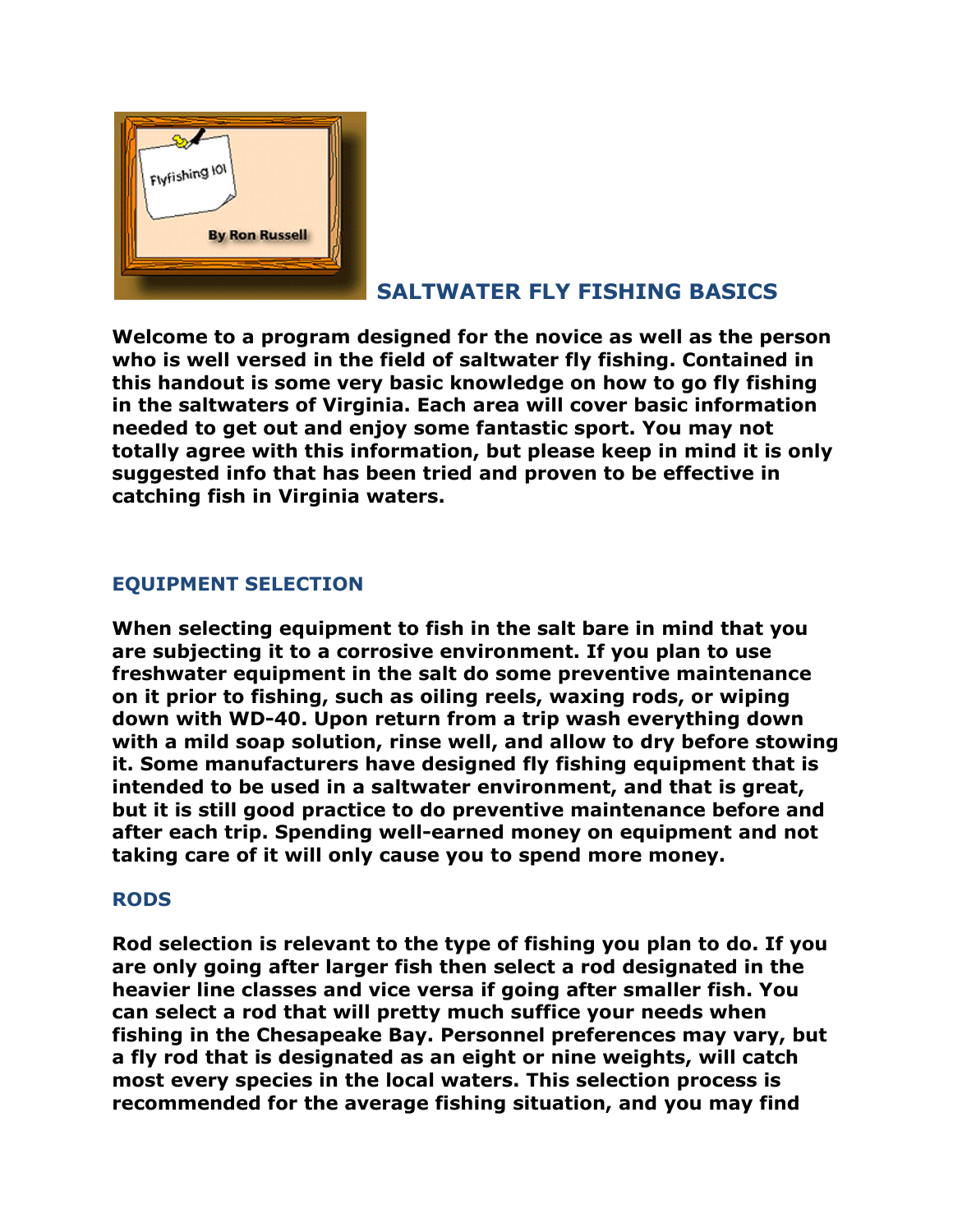

# **SALTWATER FLY FISHING BASICS**

**Welcome to a program designed for the novice as well as the person who is well versed in the field of saltwater fly fishing. Contained in this handout is some very basic knowledge on how to go fly fishing in the saltwaters of Virginia. Each area will cover basic information needed to get out and enjoy some fantastic sport. You may not totally agree with this information, but please keep in mind it is only suggested info that has been tried and proven to be effective in catching fish in Virginia waters.**

# **EQUIPMENT SELECTION**

**When selecting equipment to fish in the salt bare in mind that you are subjecting it to a corrosive environment. If you plan to use freshwater equipment in the salt do some preventive maintenance on it prior to fishing, such as oiling reels, waxing rods, or wiping down with WD-40. Upon return from a trip wash everything down with a mild soap solution, rinse well, and allow to dry before stowing it. Some manufacturers have designed fly fishing equipment that is intended to be used in a saltwater environment, and that is great, but it is still good practice to do preventive maintenance before and after each trip. Spending well-earned money on equipment and not taking care of it will only cause you to spend more money.**

## **RODS**

**Rod selection is relevant to the type of fishing you plan to do. If you are only going after larger fish then select a rod designated in the heavier line classes and vice versa if going after smaller fish. You can select a rod that will pretty much suffice your needs when fishing in the Chesapeake Bay. Personnel preferences may vary, but a fly rod that is designated as an eight or nine weights, will catch most every species in the local waters. This selection process is recommended for the average fishing situation, and you may find**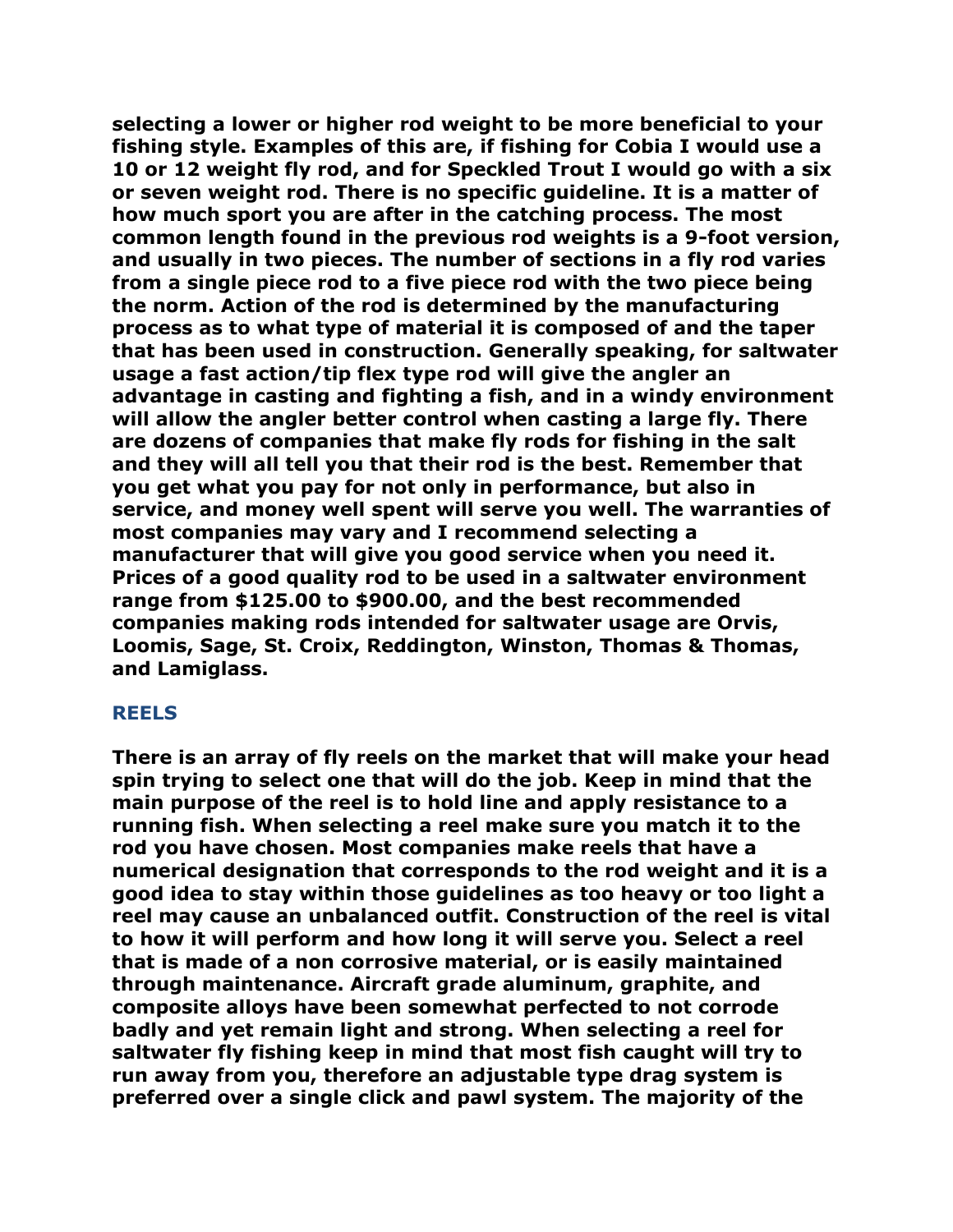**selecting a lower or higher rod weight to be more beneficial to your fishing style. Examples of this are, if fishing for Cobia I would use a 10 or 12 weight fly rod, and for Speckled Trout I would go with a six or seven weight rod. There is no specific guideline. It is a matter of how much sport you are after in the catching process. The most common length found in the previous rod weights is a 9-foot version, and usually in two pieces. The number of sections in a fly rod varies from a single piece rod to a five piece rod with the two piece being the norm. Action of the rod is determined by the manufacturing process as to what type of material it is composed of and the taper that has been used in construction. Generally speaking, for saltwater usage a fast action/tip flex type rod will give the angler an advantage in casting and fighting a fish, and in a windy environment will allow the angler better control when casting a large fly. There are dozens of companies that make fly rods for fishing in the salt and they will all tell you that their rod is the best. Remember that you get what you pay for not only in performance, but also in service, and money well spent will serve you well. The warranties of most companies may vary and I recommend selecting a manufacturer that will give you good service when you need it. Prices of a good quality rod to be used in a saltwater environment range from \$125.00 to \$900.00, and the best recommended companies making rods intended for saltwater usage are Orvis, Loomis, Sage, St. Croix, Reddington, Winston, Thomas & Thomas, and Lamiglass.**

#### **REELS**

**There is an array of fly reels on the market that will make your head spin trying to select one that will do the job. Keep in mind that the main purpose of the reel is to hold line and apply resistance to a running fish. When selecting a reel make sure you match it to the rod you have chosen. Most companies make reels that have a numerical designation that corresponds to the rod weight and it is a good idea to stay within those guidelines as too heavy or too light a reel may cause an unbalanced outfit. Construction of the reel is vital to how it will perform and how long it will serve you. Select a reel that is made of a non corrosive material, or is easily maintained through maintenance. Aircraft grade aluminum, graphite, and composite alloys have been somewhat perfected to not corrode badly and yet remain light and strong. When selecting a reel for saltwater fly fishing keep in mind that most fish caught will try to run away from you, therefore an adjustable type drag system is preferred over a single click and pawl system. The majority of the**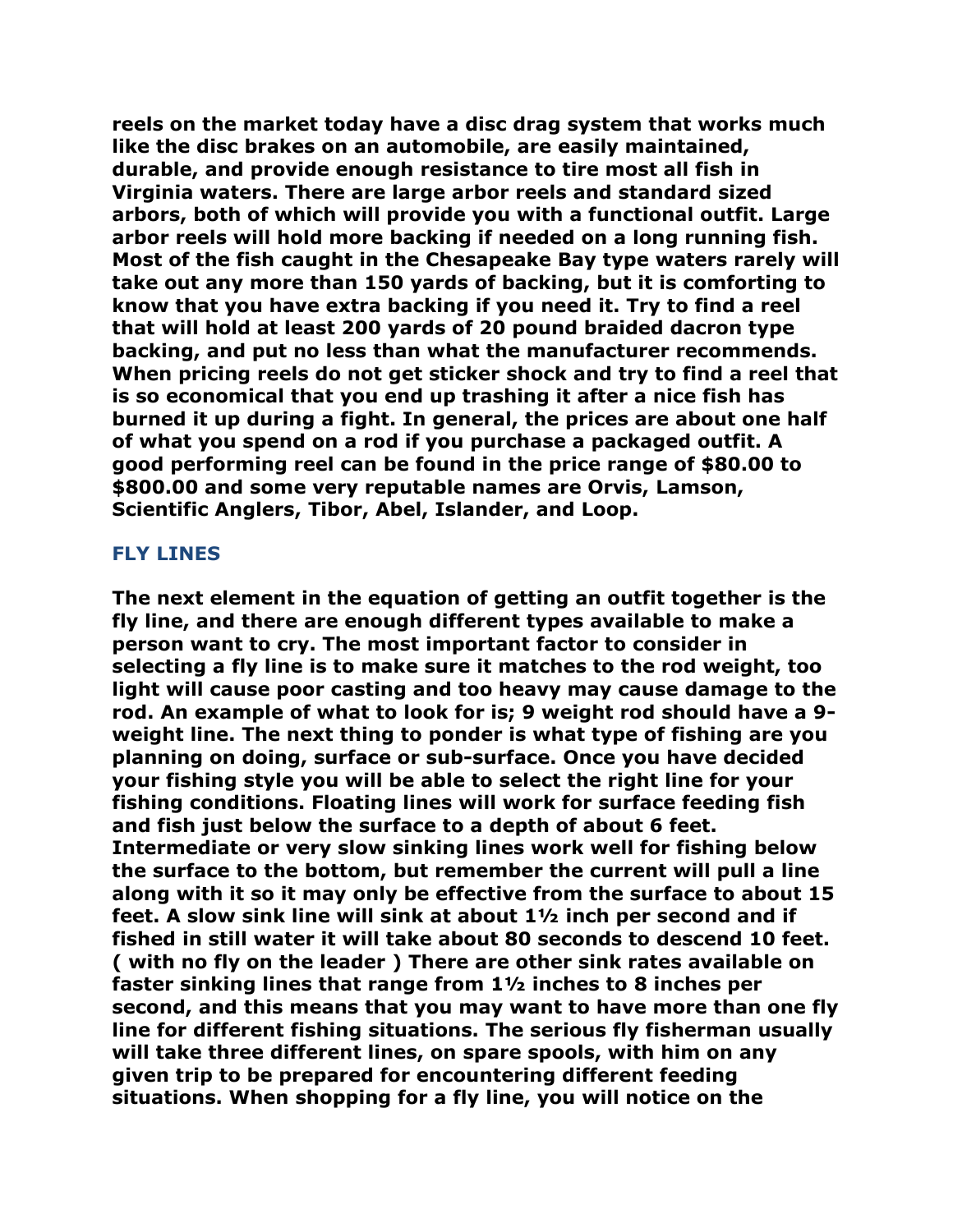**reels on the market today have a disc drag system that works much like the disc brakes on an automobile, are easily maintained, durable, and provide enough resistance to tire most all fish in Virginia waters. There are large arbor reels and standard sized arbors, both of which will provide you with a functional outfit. Large arbor reels will hold more backing if needed on a long running fish. Most of the fish caught in the Chesapeake Bay type waters rarely will take out any more than 150 yards of backing, but it is comforting to know that you have extra backing if you need it. Try to find a reel that will hold at least 200 yards of 20 pound braided dacron type backing, and put no less than what the manufacturer recommends. When pricing reels do not get sticker shock and try to find a reel that is so economical that you end up trashing it after a nice fish has burned it up during a fight. In general, the prices are about one half of what you spend on a rod if you purchase a packaged outfit. A good performing reel can be found in the price range of \$80.00 to \$800.00 and some very reputable names are Orvis, Lamson, Scientific Anglers, Tibor, Abel, Islander, and Loop.**

### **FLY LINES**

**The next element in the equation of getting an outfit together is the fly line, and there are enough different types available to make a person want to cry. The most important factor to consider in selecting a fly line is to make sure it matches to the rod weight, too light will cause poor casting and too heavy may cause damage to the rod. An example of what to look for is; 9 weight rod should have a 9 weight line. The next thing to ponder is what type of fishing are you planning on doing, surface or sub-surface. Once you have decided your fishing style you will be able to select the right line for your fishing conditions. Floating lines will work for surface feeding fish and fish just below the surface to a depth of about 6 feet. Intermediate or very slow sinking lines work well for fishing below the surface to the bottom, but remember the current will pull a line along with it so it may only be effective from the surface to about 15 feet. A slow sink line will sink at about 1½ inch per second and if fished in still water it will take about 80 seconds to descend 10 feet. ( with no fly on the leader ) There are other sink rates available on faster sinking lines that range from 1½ inches to 8 inches per second, and this means that you may want to have more than one fly line for different fishing situations. The serious fly fisherman usually will take three different lines, on spare spools, with him on any given trip to be prepared for encountering different feeding situations. When shopping for a fly line, you will notice on the**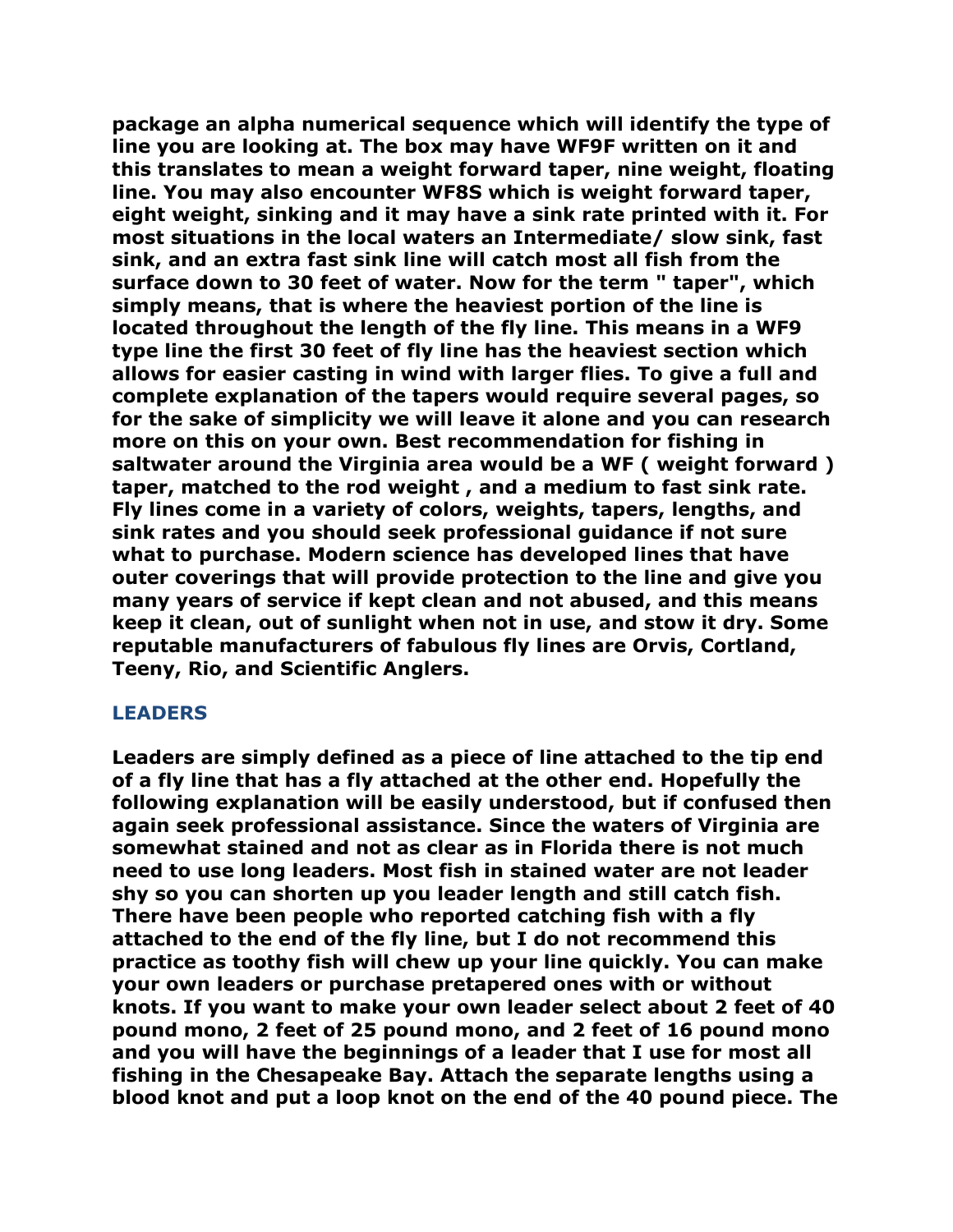**package an alpha numerical sequence which will identify the type of line you are looking at. The box may have WF9F written on it and this translates to mean a weight forward taper, nine weight, floating line. You may also encounter WF8S which is weight forward taper, eight weight, sinking and it may have a sink rate printed with it. For most situations in the local waters an Intermediate/ slow sink, fast sink, and an extra fast sink line will catch most all fish from the surface down to 30 feet of water. Now for the term " taper", which simply means, that is where the heaviest portion of the line is located throughout the length of the fly line. This means in a WF9 type line the first 30 feet of fly line has the heaviest section which allows for easier casting in wind with larger flies. To give a full and complete explanation of the tapers would require several pages, so for the sake of simplicity we will leave it alone and you can research more on this on your own. Best recommendation for fishing in saltwater around the Virginia area would be a WF ( weight forward ) taper, matched to the rod weight , and a medium to fast sink rate. Fly lines come in a variety of colors, weights, tapers, lengths, and sink rates and you should seek professional guidance if not sure what to purchase. Modern science has developed lines that have outer coverings that will provide protection to the line and give you many years of service if kept clean and not abused, and this means keep it clean, out of sunlight when not in use, and stow it dry. Some reputable manufacturers of fabulous fly lines are Orvis, Cortland, Teeny, Rio, and Scientific Anglers.**

### **LEADERS**

**Leaders are simply defined as a piece of line attached to the tip end of a fly line that has a fly attached at the other end. Hopefully the following explanation will be easily understood, but if confused then again seek professional assistance. Since the waters of Virginia are somewhat stained and not as clear as in Florida there is not much need to use long leaders. Most fish in stained water are not leader shy so you can shorten up you leader length and still catch fish. There have been people who reported catching fish with a fly attached to the end of the fly line, but I do not recommend this practice as toothy fish will chew up your line quickly. You can make your own leaders or purchase pretapered ones with or without knots. If you want to make your own leader select about 2 feet of 40 pound mono, 2 feet of 25 pound mono, and 2 feet of 16 pound mono and you will have the beginnings of a leader that I use for most all fishing in the Chesapeake Bay. Attach the separate lengths using a blood knot and put a loop knot on the end of the 40 pound piece. The**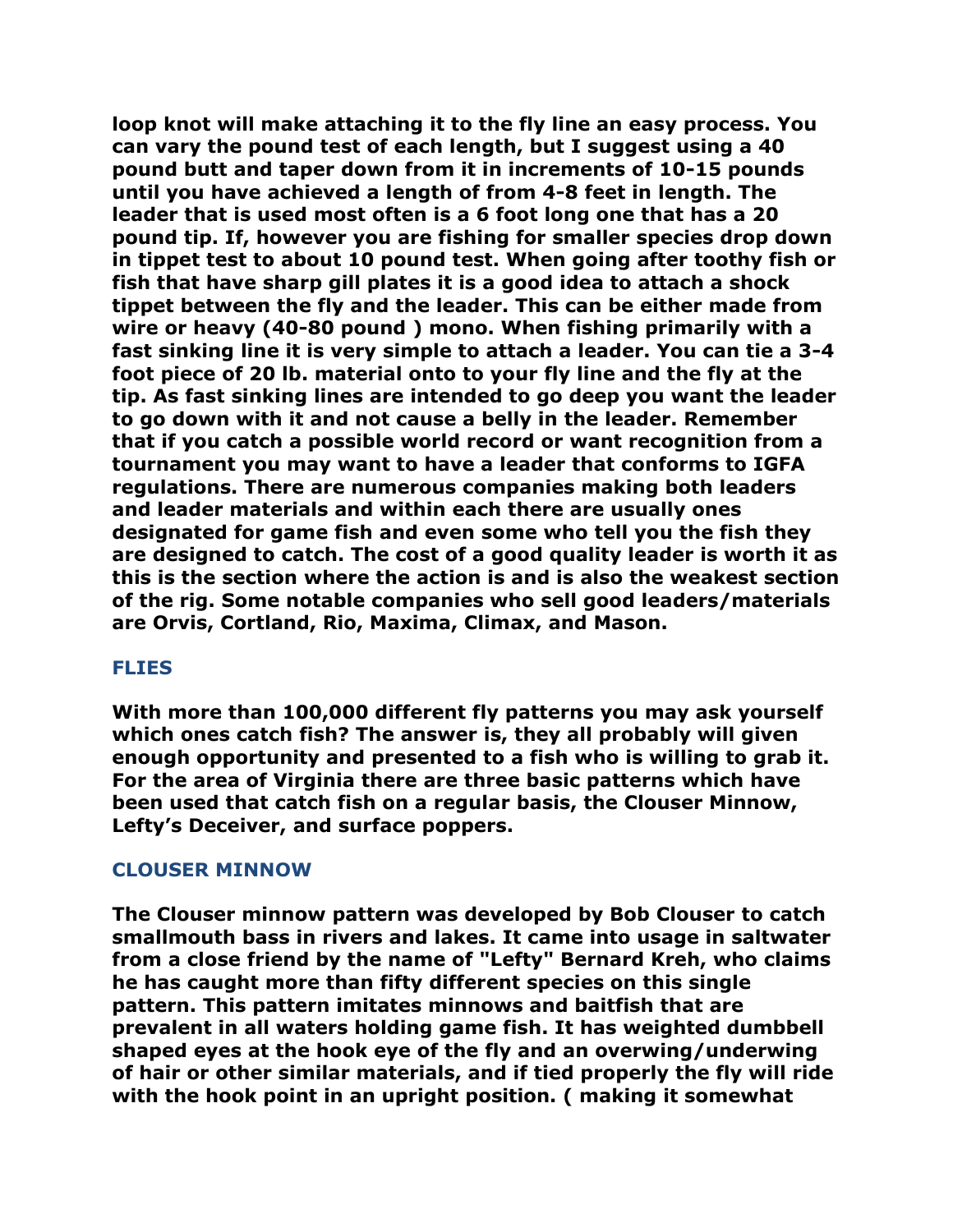**loop knot will make attaching it to the fly line an easy process. You can vary the pound test of each length, but I suggest using a 40 pound butt and taper down from it in increments of 10-15 pounds until you have achieved a length of from 4-8 feet in length. The leader that is used most often is a 6 foot long one that has a 20 pound tip. If, however you are fishing for smaller species drop down in tippet test to about 10 pound test. When going after toothy fish or fish that have sharp gill plates it is a good idea to attach a shock tippet between the fly and the leader. This can be either made from wire or heavy (40-80 pound ) mono. When fishing primarily with a fast sinking line it is very simple to attach a leader. You can tie a 3-4 foot piece of 20 lb. material onto to your fly line and the fly at the tip. As fast sinking lines are intended to go deep you want the leader to go down with it and not cause a belly in the leader. Remember that if you catch a possible world record or want recognition from a tournament you may want to have a leader that conforms to IGFA regulations. There are numerous companies making both leaders and leader materials and within each there are usually ones designated for game fish and even some who tell you the fish they are designed to catch. The cost of a good quality leader is worth it as this is the section where the action is and is also the weakest section of the rig. Some notable companies who sell good leaders/materials are Orvis, Cortland, Rio, Maxima, Climax, and Mason.**

### **FLIES**

**With more than 100,000 different fly patterns you may ask yourself which ones catch fish? The answer is, they all probably will given enough opportunity and presented to a fish who is willing to grab it. For the area of Virginia there are three basic patterns which have been used that catch fish on a regular basis, the Clouser Minnow, Lefty's Deceiver, and surface poppers.**

### **CLOUSER MINNOW**

**The Clouser minnow pattern was developed by Bob Clouser to catch smallmouth bass in rivers and lakes. It came into usage in saltwater from a close friend by the name of "Lefty" Bernard Kreh, who claims he has caught more than fifty different species on this single pattern. This pattern imitates minnows and baitfish that are prevalent in all waters holding game fish. It has weighted dumbbell shaped eyes at the hook eye of the fly and an overwing/underwing of hair or other similar materials, and if tied properly the fly will ride with the hook point in an upright position. ( making it somewhat**